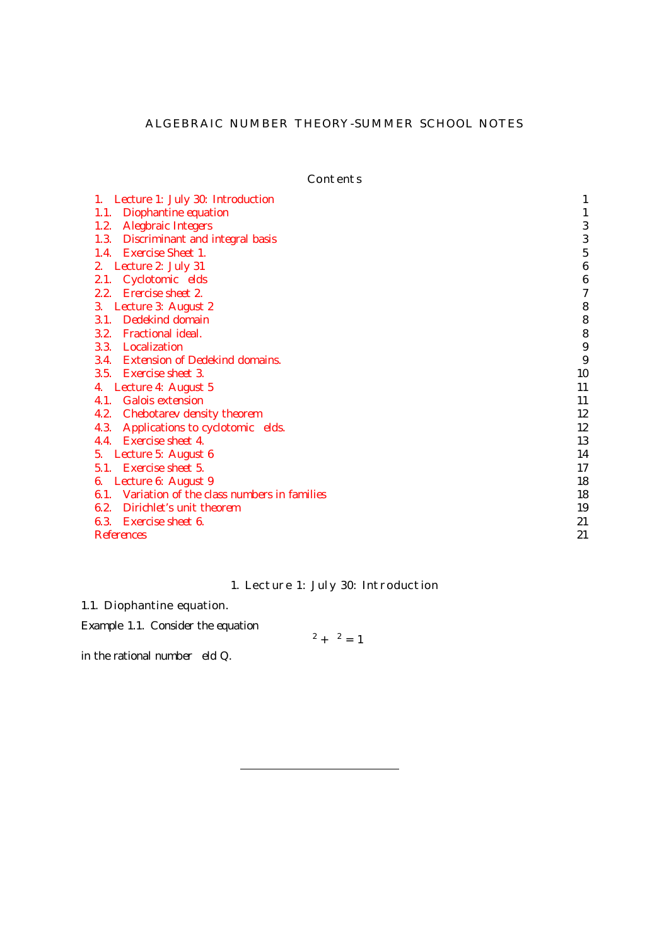### ALGEBRAIC NUMBER THEORY-SUMMER SCHOOL NOTES

Contents

| Lecture 1: July 30: Introduction<br>1.          |    |
|-------------------------------------------------|----|
| Diophantine equation<br>1.1.                    |    |
| 1.2. Alegbraic Integers                         |    |
| Discriminant and integral basis<br>1.3.         | 3  |
| 1.4. Exercise Sheet 1.                          | 5  |
| 2. Lecture 2: July 31                           | 6  |
| 2.1. Cyclotomic elds                            | 6  |
| 2.2. Erercise sheet 2.                          |    |
| Lecture 3: August 2<br>3.                       | 8  |
| Dedekind domain<br>3.1.                         | 8  |
| 3.2. Fractional ideal.                          | 8  |
| 3.3. Localization                               | 9  |
| 3.4. Extension of Dedekind domains.             | 9  |
| 3.5. Exercise sheet 3.                          | 10 |
| 4. Lecture 4: August 5                          | 11 |
| 4.1. Galois extension                           | 11 |
| 4.2. Chebotarev density theorem                 | 12 |
| Applications to cyclotomic elds.<br>4.3.        | 12 |
| 4.4. Exercise sheet 4.                          | 13 |
| 5. Lecture 5: August 6                          | 14 |
| 5.1. Exercise sheet 5.                          | 17 |
| Lecture 6: August 9<br>6.                       | 18 |
| 6.1. Variation of the class numbers in families | 18 |
| 6.2. Dirichlet's unit theorem                   | 19 |
| 6.3. Exercise sheet 6.                          | 21 |
| References                                      | 21 |

# 1. Lecture 1: July 30: Introduction

## <span id="page-0-1"></span><span id="page-0-0"></span>1.1. Diophantine equation.

Example 1.1. Consider the equation

 $x^2 + y^2 = 1$ 

in the rational number  $eld$   $Q$ .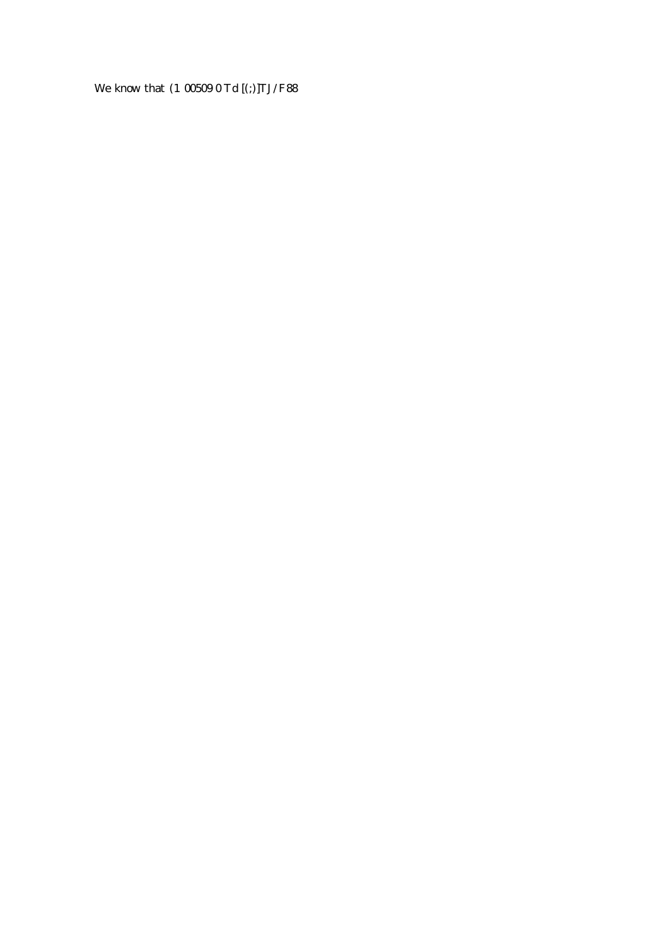We know that (1/00509 0 Td [(;)]TJ/F88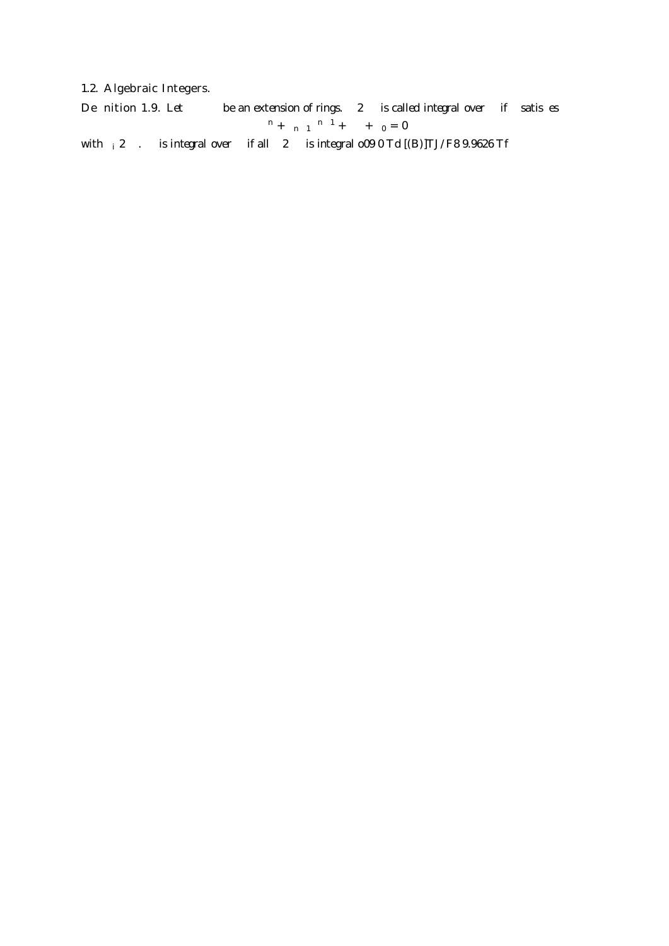## <span id="page-2-0"></span>1.2. Algebraic Integers.

De nition 1.9. Let  $A$  B be an extension of rings.  $x \, 2 \, B$  is called *integral* over A if x satis es  $x^n + a_{n-1}x^{n-1} + a_0 = 0$ 

<span id="page-2-1"></span>with  $a_i$  2 A. B is integral over A if all  $x$  2 B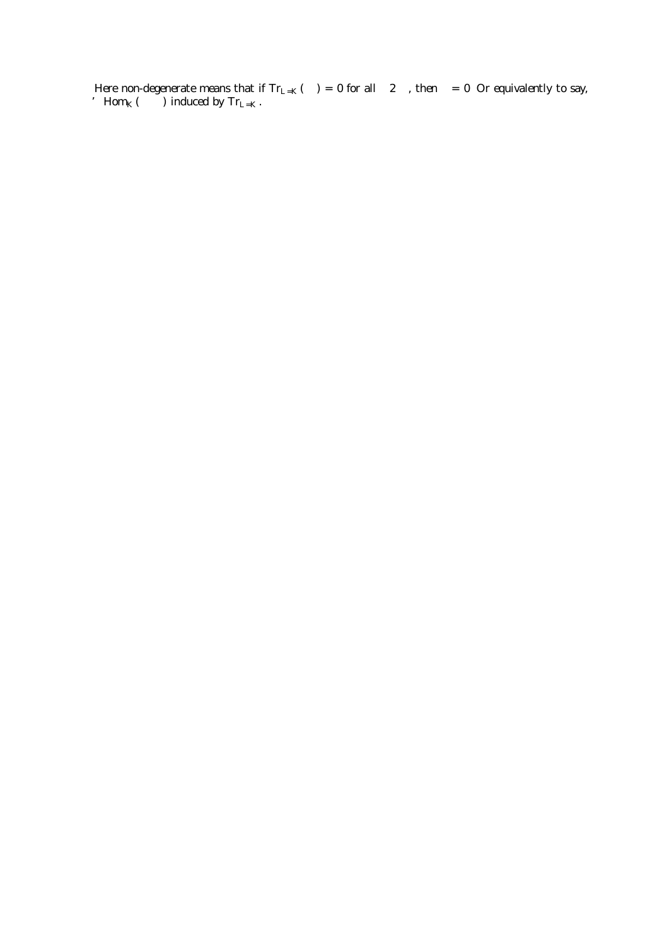Here non-degenerate means that if  $Tr_{L=K}(xy) = 0$  for all  $y \, 2 \, L$ , then  $x = 0$ : Or equivalently to say, L ' Hom $_K(L/K)$  induced by Tr<sub>L=K</sub>.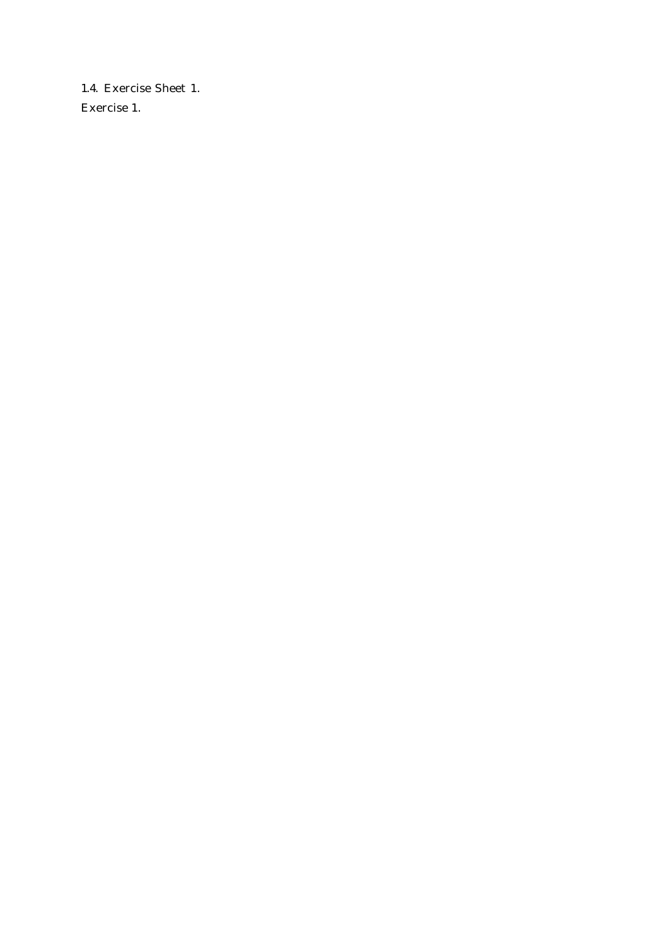<span id="page-4-0"></span>1.4. Exercise Sheet 1. Exercise 1.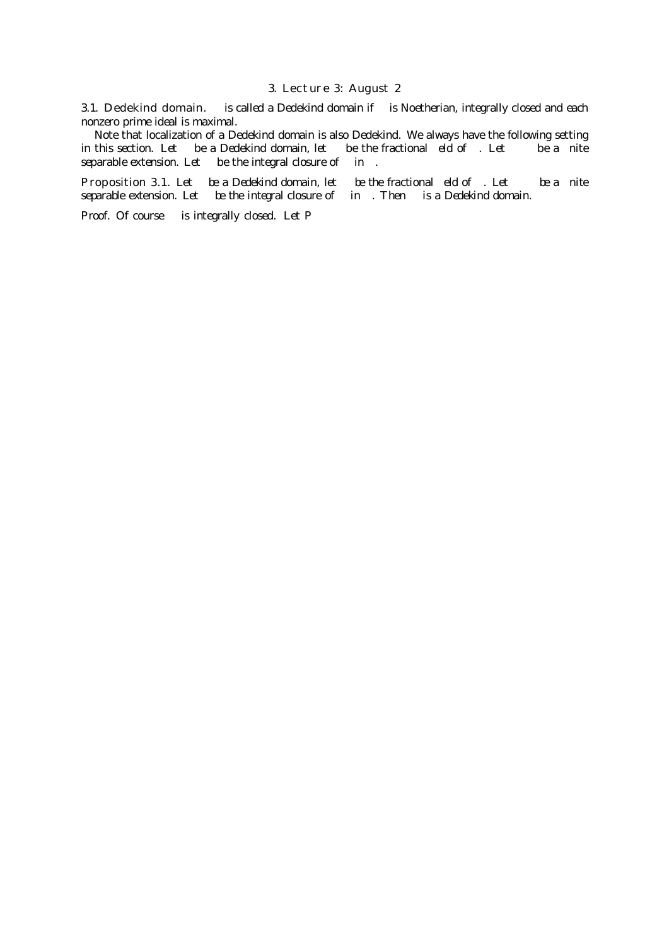#### 3. Lecture 3: August 2

<span id="page-7-1"></span><span id="page-7-0"></span>3.1. Dedekind domain. A is called a Dedekind domain if A is Noetherian, integrally closed and each nonzero prime ideal is maximal.

Note that localization of a Dedekind domain is also Dedekind. We always have the following setting in this section. Let A be a Dedekind domain, let K be the fractional eld of A. Let  $L=K$  be a nite separable extension. Let  $B$  be the integral closure of  $A$  in  $L$ .

Proposition 3.1. Let A be a Dedekind domain, let K be the fractional eld of A. Let L=K be a nite separable extension. Let B be the integral closure of A in L. Then B is a Dedekind domain.

<span id="page-7-2"></span>Proof. Of course B is integrally closed. Let PA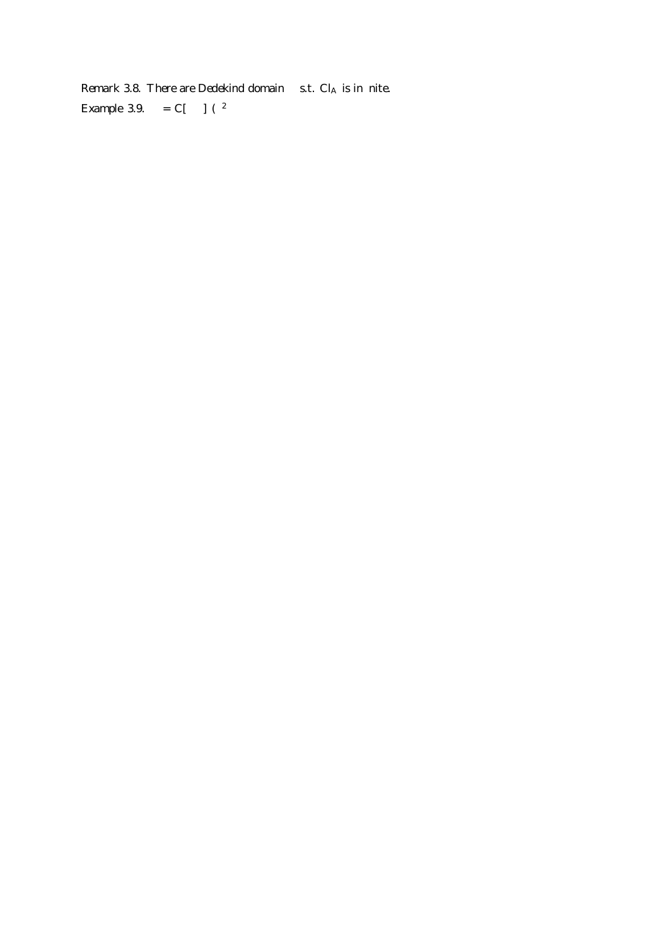<span id="page-8-1"></span><span id="page-8-0"></span>Remark 3.8. There are Dedekind domain  $A$  s.t.  $Cl_A$  is in nite. *Example* 3.9.  $A = C[x; y] = (y^2)$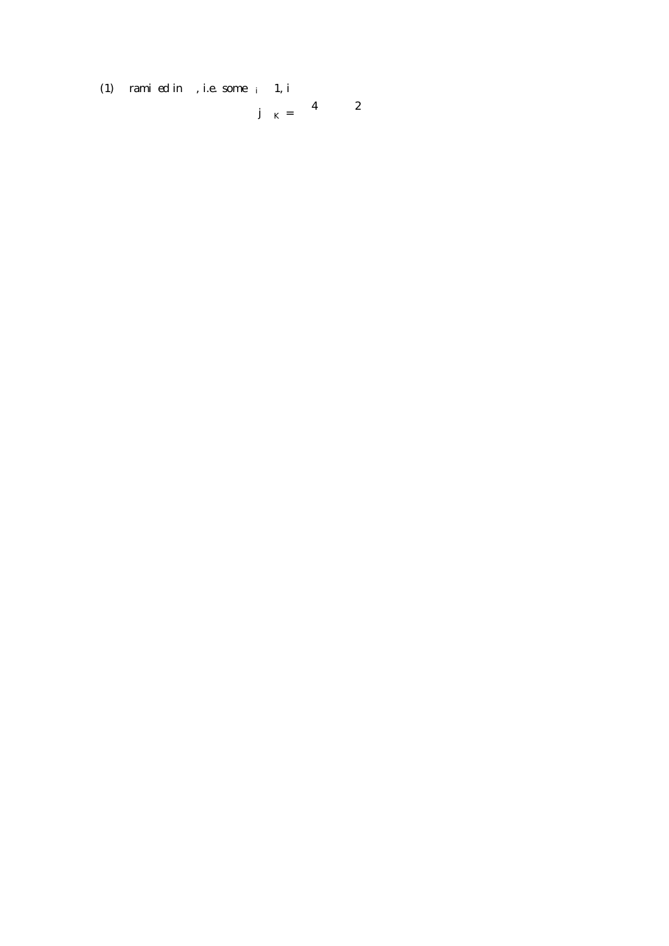<span id="page-9-0"></span>(1) p rami ed in K, i.e. some  $e_i > 1$ , i<br>4d d 2;

$$
p j \quad K = \begin{pmatrix} 4d & d & 2 \\ 4d & 2 & 2 \end{pmatrix}
$$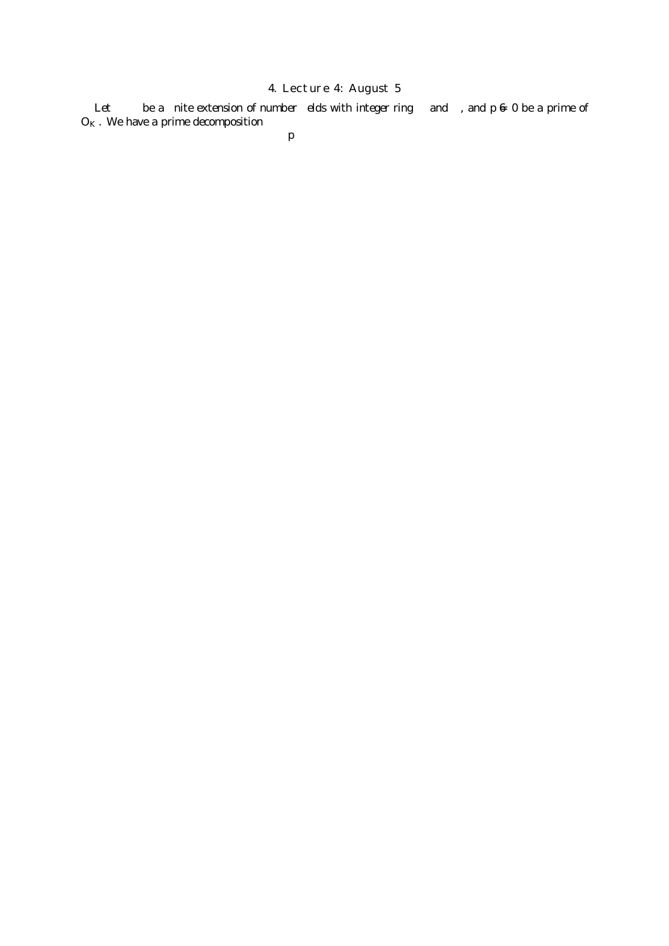## 4. Lecture 4: August 5

<span id="page-10-1"></span><span id="page-10-0"></span>Let  $L=K$  be a nite extension of number elds with integer ring B and A, and  $p \neq 0$  be a prime of  $O_K$ . We have a prime decomposition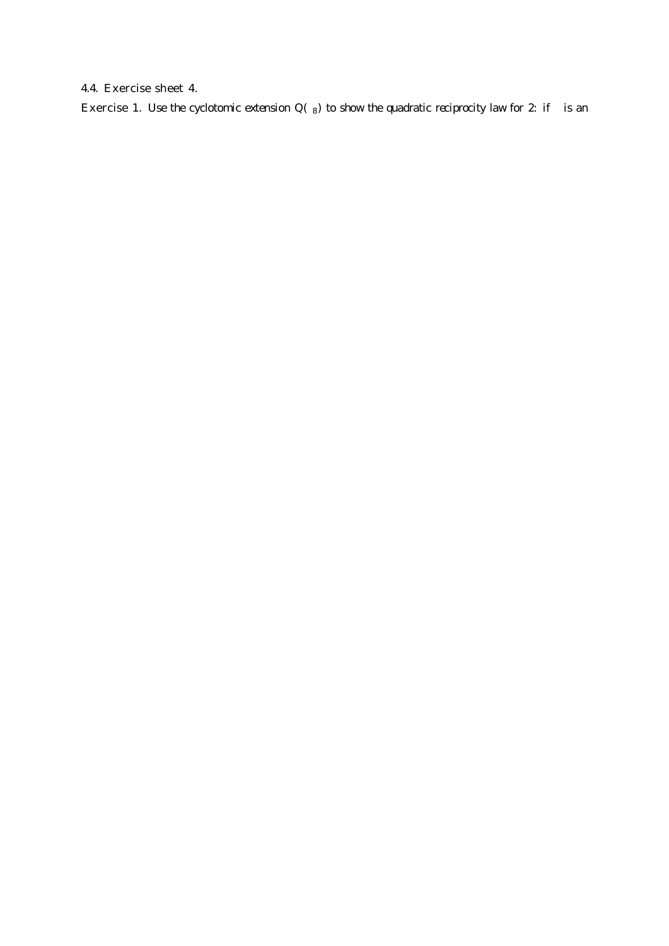## <span id="page-12-0"></span>4.4. Exercise sheet 4.

Exercise 1. Use the cyclotomic extension  $Q(8)$  to show the quadratic reciprocity law for 2: if p is an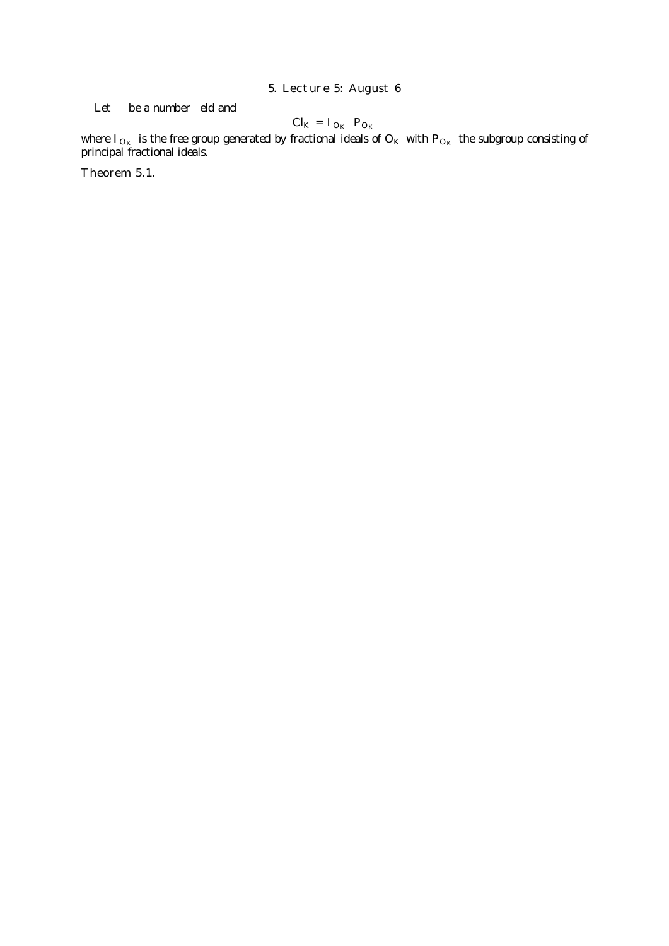## 5. Lecture 5: August 6

<span id="page-13-0"></span>Let  $K$  be a number eld and

$$
Cl_K = I_{O_K} = P_{O_K}
$$

where  $\overline{\prime}_{O_K}$  is the free group generated by fractional ideals of  $\overline{O_K}$  with  $P_{O_K}$  the subgroup consisting of principal fractional ideals.

Theorem 5.1.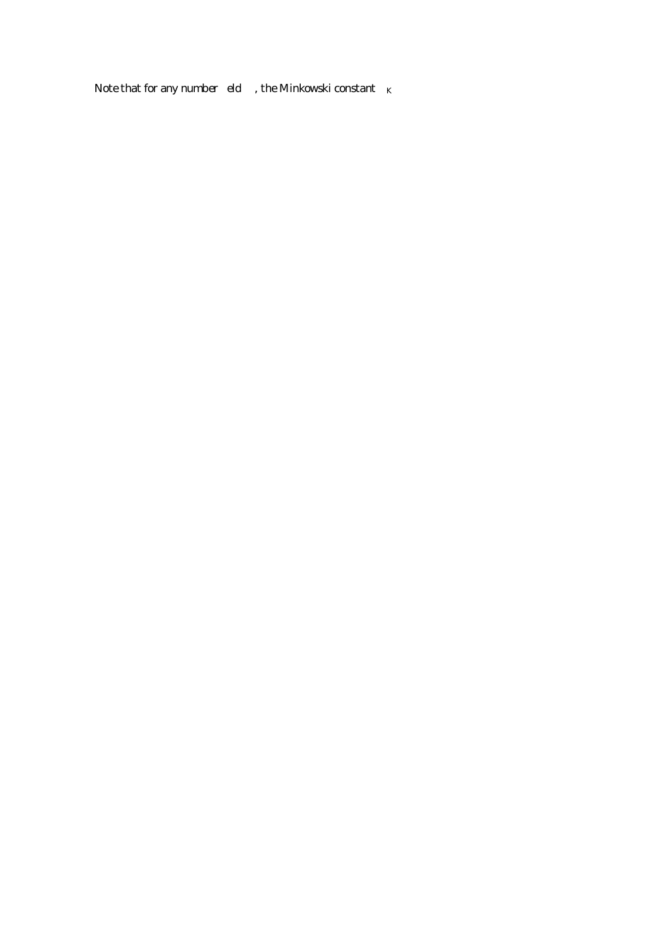Note that for any number eld  $K$ , the Minkowski constant  $C_K$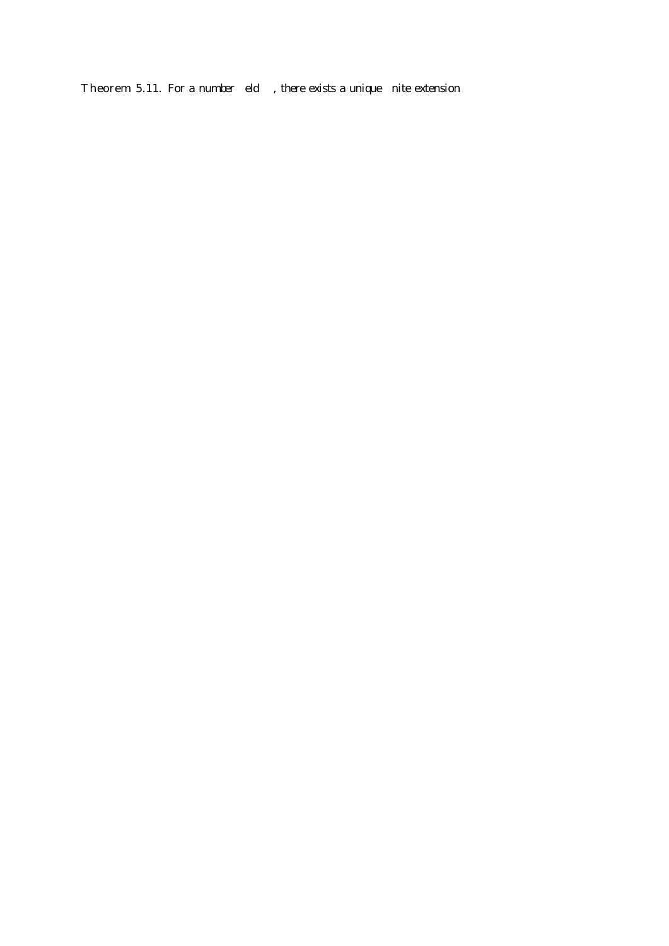<span id="page-16-0"></span>Theorem 5.11. For a number eld  $K$ , there exists a unique nite extension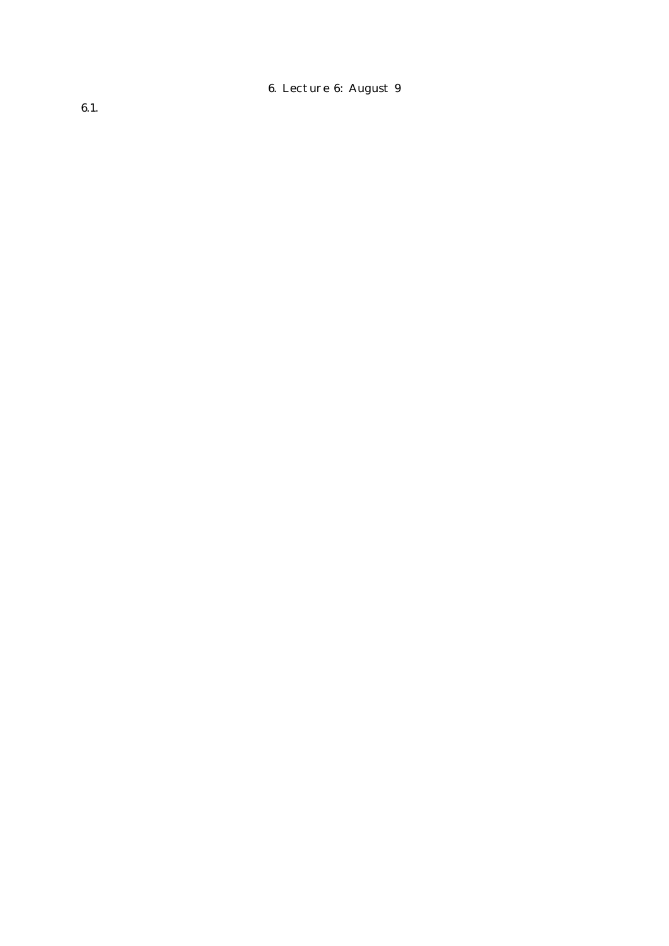6. Lecture 6: August 9

<span id="page-17-1"></span><span id="page-17-0"></span>6.1.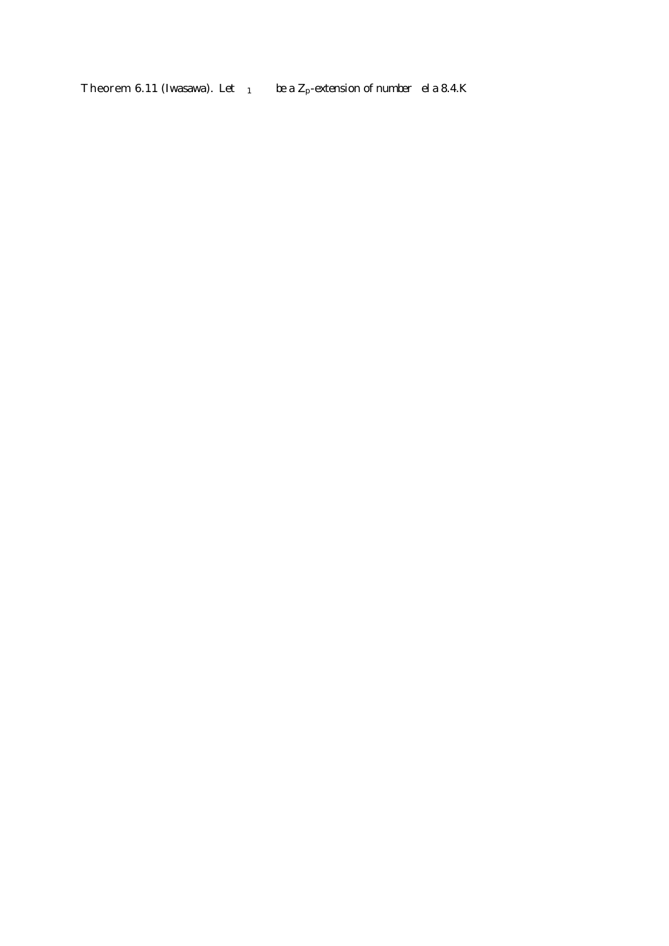<span id="page-18-0"></span>**Theorem 6.11** (Iwasawa). Let  $K_1 = K$  be a  $Z_p$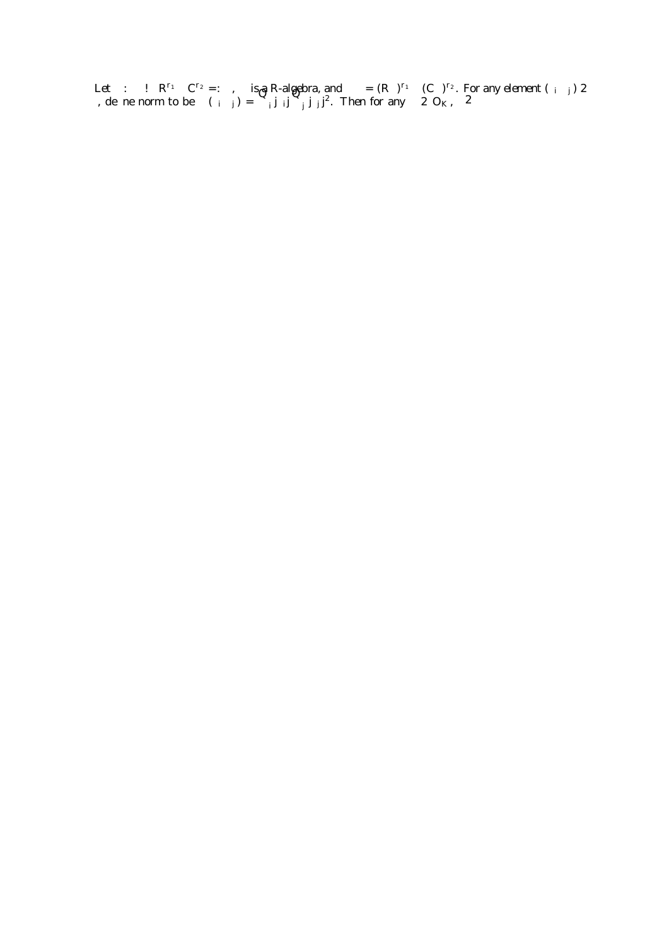Let : K,  $\mu$  R<sup>r<sub>1</sub></sup> C<sup>r<sub>2</sub></sup> =: V, V is a R-algebra, and V = (R)<sup>r<sub>1</sub></sup> (C)<sup>r<sub>2</sub>. For any element (y<sub>i</sub>; z<sub>j</sub>) 2</sup> V, de ne norm to be  $N(y_i, z_j) = \int_{i}^{z_j} j y_j y_j^2 y_j^2$ . Then for any  $2 O_K$ ,  $2 \ell$